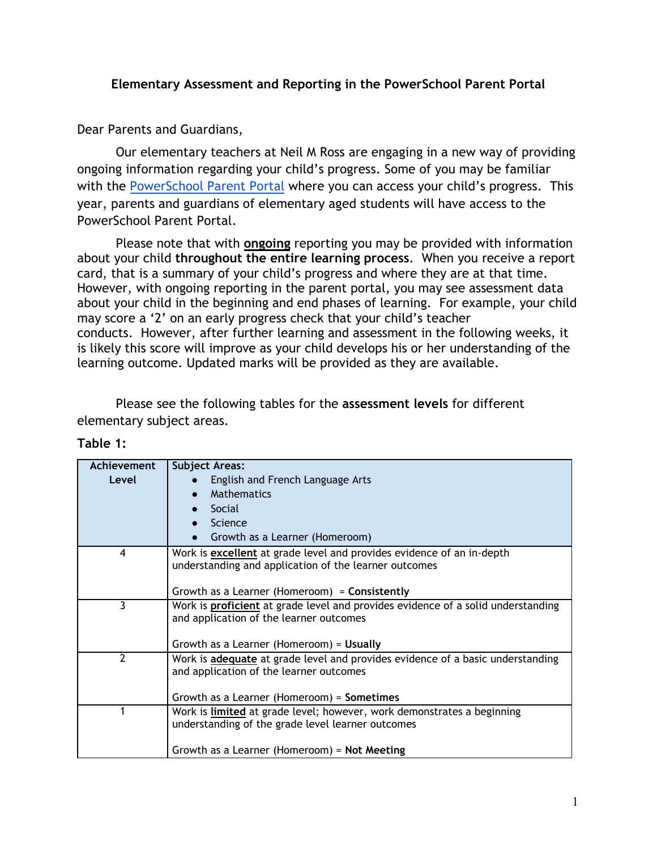## **Elementary Assessment and Reporting in the PowerSchool Parent Portal**

Dear Parents and Guardians,

Our elementary teachers at Neil M Ross are engaging in a new way of providing ongoing information regarding your child's progress. Some of you may be familiar with the [PowerSchool Parent Portal](https://gsacrd.powerschool.com/public/) where you can access your child's progress. This year, parents and guardians of elementary aged students will have access to the PowerSchool Parent Portal.

Please note that with **ongoing** reporting you may be provided with information about your child **throughout the entire learning process**. When you receive a report card, that is a summary of your child's progress and where they are at that time. However, with ongoing reporting in the parent portal, you may see assessment data about your child in the beginning and end phases of learning. For example, your child may score a '2' on an early progress check that your child's teacher conducts. However, after further learning and assessment in the following weeks, it is likely this score will improve as your child develops his or her understanding of the learning outcome. Updated marks will be provided as they are available.

Please see the following tables for the **assessment levels** for different elementary subject areas.

| Achievement | <b>Subject Areas:</b>                                                                   |
|-------------|-----------------------------------------------------------------------------------------|
| Level       | English and French Language Arts                                                        |
|             | Mathematics                                                                             |
|             | Social                                                                                  |
|             | Science                                                                                 |
|             | Growth as a Learner (Homeroom)                                                          |
| 4           | Work is excellent at grade level and provides evidence of an in-depth                   |
|             | understanding and application of the learner outcomes                                   |
|             |                                                                                         |
|             | Growth as a Learner (Homeroom) = Consistently                                           |
| 3           | Work is <b>proficient</b> at grade level and provides evidence of a solid understanding |
|             | and application of the learner outcomes                                                 |
|             |                                                                                         |
|             | Growth as a Learner (Homeroom) = Usually                                                |
| 2           | Work is adequate at grade level and provides evidence of a basic understanding          |
|             | and application of the learner outcomes                                                 |
|             |                                                                                         |
|             | Growth as a Learner (Homeroom) = Sometimes                                              |
|             | Work is limited at grade level; however, work demonstrates a beginning                  |
|             | understanding of the grade level learner outcomes                                       |
|             |                                                                                         |
|             | Growth as a Learner (Homeroom) = Not Meeting                                            |

**Table 1:**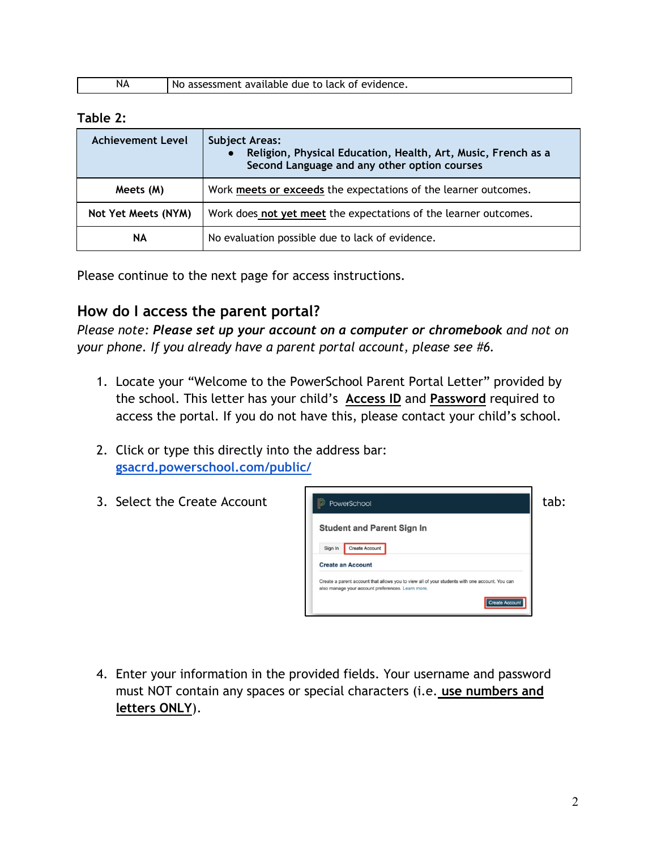| evidence.<br>available<br>∩t<br>$\sim$ ro lack $-$<br>due<br><b>NA</b><br>N<br>- -<br>mem.<br>эc<br>- 11<br>. . |
|-----------------------------------------------------------------------------------------------------------------|
|-----------------------------------------------------------------------------------------------------------------|

#### **Table 2:**

| <b>Achievement Level</b> | <b>Subject Areas:</b><br>Religion, Physical Education, Health, Art, Music, French as a<br>Second Language and any other option courses |
|--------------------------|----------------------------------------------------------------------------------------------------------------------------------------|
| Meets (M)                | Work meets or exceeds the expectations of the learner outcomes.                                                                        |
| Not Yet Meets (NYM)      | Work does not yet meet the expectations of the learner outcomes.                                                                       |
| ΝA                       | No evaluation possible due to lack of evidence.                                                                                        |

Please continue to the next page for access instructions.

## **How do I access the parent portal?**

*Please note: Please set up your account on a computer or chromebook and not on your phone. If you already have a parent portal account, please see #6.*

- 1. Locate your "Welcome to the PowerSchool Parent Portal Letter" provided by the school. This letter has your child's **Access ID** and **Password** required to access the portal. If you do not have this, please contact your child's school.
- 2. Click or type this directly into the address bar: **[gsacrd.powerschool.com/public/](https://gsacrd.powerschool.com/public/)**
- 



4. Enter your information in the provided fields. Your username and password must NOT contain any spaces or special characters (i.e. **use numbers and letters ONLY**).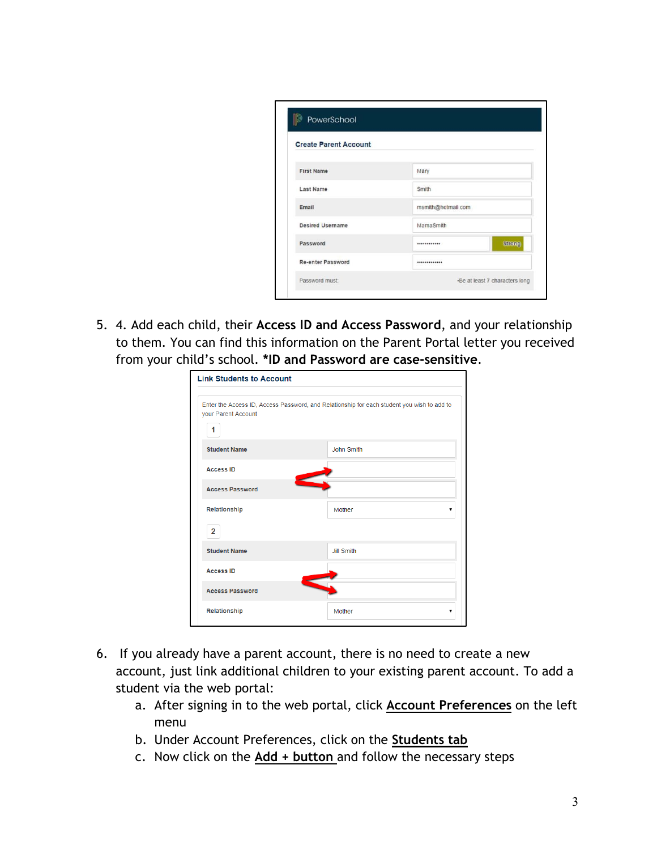| <b>Create Parent Account</b> |                    |
|------------------------------|--------------------|
| <b>First Name</b>            | Mary               |
| <b>Last Name</b>             | Smith              |
| Email                        | msmith@hotmail.com |
| <b>Desired Username</b>      | MamaSmith          |
| Password                     | <b>Strong</b><br>  |
| <b>Re-enter Password</b>     |                    |

5. 4. Add each child, their **Access ID and Access Password**, and your relationship to them. You can find this information on the Parent Portal letter you received from your child's school. **\*ID and Password are case-sensitive**.

| <b>Link Students to Account</b> |                                                                                            |
|---------------------------------|--------------------------------------------------------------------------------------------|
| your Parent Account<br>1        | Enter the Access ID, Access Password, and Relationship for each student you wish to add to |
| <b>Student Name</b>             | John Smith                                                                                 |
| <b>Access ID</b>                |                                                                                            |
| <b>Access Password</b>          |                                                                                            |
| Relationship                    | Mother                                                                                     |
| 2                               |                                                                                            |
| <b>Student Name</b>             | <b>Jill Smith</b>                                                                          |
| <b>Access ID</b>                |                                                                                            |
| <b>Access Password</b>          |                                                                                            |
| Relationship                    | Mother<br>▼                                                                                |

- 6. If you already have a parent account, there is no need to create a new account, just link additional children to your existing parent account. To add a student via the web portal:
	- a. After signing in to the web portal, click **Account Preferences** on the left menu
	- b. Under Account Preferences, click on the **Students tab**
	- c. Now click on the **Add + button** and follow the necessary steps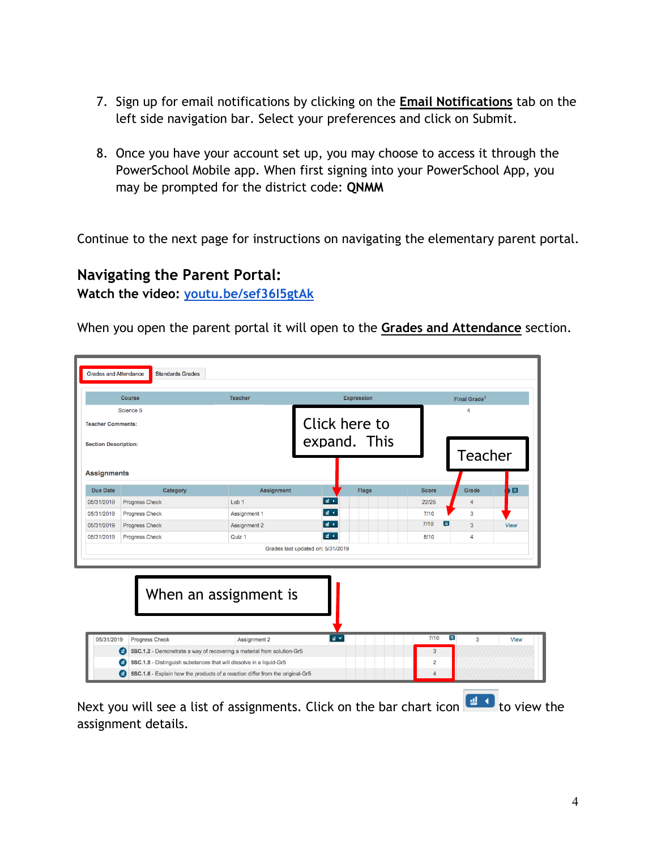- 7. Sign up for email notifications by clicking on the **Email Notifications** tab on the left side navigation bar. Select your preferences and click on Submit.
- 8. Once you have your account set up, you may choose to access it through the PowerSchool Mobile app. When first signing into your PowerSchool App, you may be prompted for the district code: **QNMM**

Continue to the next page for instructions on navigating the elementary parent portal.

## **Navigating the Parent Portal:**

**Watch the video: [youtu.be/sef36I5gtAk](https://youtu.be/sef36I5gtAk)**

When you open the parent portal it will open to the **Grades and Attendance** section.

|                             | <b>Course</b>         | <b>Teacher</b>                                                         | <b>Expression</b> |              | Final Grade <sup>1</sup> |             |
|-----------------------------|-----------------------|------------------------------------------------------------------------|-------------------|--------------|--------------------------|-------------|
|                             | Science 5             |                                                                        |                   |              | Δ                        |             |
| <b>Teacher Comments:</b>    |                       |                                                                        | Click here to     |              |                          |             |
| <b>Section Description:</b> |                       |                                                                        | expand. This      |              | <b>Teacher</b>           |             |
| <b>Assignments</b>          |                       |                                                                        |                   |              |                          |             |
| <b>Due Date</b>             | Category              | <b>Assignment</b>                                                      | <b>Flags</b>      | <b>Score</b> | Grade                    | 目           |
| 05/31/2019                  | <b>Progress Check</b> | Lab <sub>1</sub>                                                       | all 4             | 22/25        | $\overline{4}$           |             |
| 05/31/2019                  | <b>Progress Check</b> | <b>Assignment 1</b>                                                    | 温く                | $7/10$       | 3                        |             |
| 05/31/2019                  | <b>Progress Check</b> | <b>Assignment 2</b>                                                    | 温不                | 7/10<br>目    | $\mathbf{3}$             | View        |
| 05/31/2019                  | <b>Progress Check</b> | Quiz 1                                                                 | ■4                | 8/10         | $\overline{4}$           |             |
|                             |                       |                                                                        |                   |              |                          |             |
|                             |                       | When an assignment is                                                  |                   |              |                          |             |
| 05/31/2019                  | Progress Check        | Assignment 2                                                           | $d =$             | 7/10         | Ξ<br>3                   | <b>View</b> |
|                             |                       | 5SC.1.2 - Demonstrate a way of recovering a material from solution-Gr5 |                   | $\mathbf{3}$ |                          |             |
|                             | $\bullet$             | 5SC.1.5 - Distinguish substances that will dissolve in a liquid-Gr5    |                   | 2            |                          |             |

assignment details.